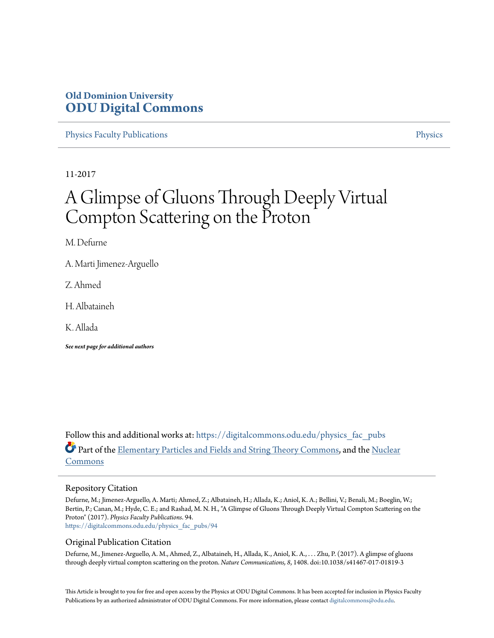# **Old Dominion University [ODU Digital Commons](https://digitalcommons.odu.edu?utm_source=digitalcommons.odu.edu%2Fphysics_fac_pubs%2F94&utm_medium=PDF&utm_campaign=PDFCoverPages)**

[Physics Faculty Publications](https://digitalcommons.odu.edu/physics_fac_pubs?utm_source=digitalcommons.odu.edu%2Fphysics_fac_pubs%2F94&utm_medium=PDF&utm_campaign=PDFCoverPages) [Physics](https://digitalcommons.odu.edu/physics?utm_source=digitalcommons.odu.edu%2Fphysics_fac_pubs%2F94&utm_medium=PDF&utm_campaign=PDFCoverPages)

11-2017

# A Glimpse of Gluons Through Deeply Virtual Compton Scattering on the Proton

M. Defurne

A. Marti Jimenez-Arguello

Z. Ahmed

H. Albataineh

K. Allada

*See next page for additional authors*

Follow this and additional works at: [https://digitalcommons.odu.edu/physics\\_fac\\_pubs](https://digitalcommons.odu.edu/physics_fac_pubs?utm_source=digitalcommons.odu.edu%2Fphysics_fac_pubs%2F94&utm_medium=PDF&utm_campaign=PDFCoverPages) Part of the [Elementary Particles and Fields and String Theory Commons](http://network.bepress.com/hgg/discipline/199?utm_source=digitalcommons.odu.edu%2Fphysics_fac_pubs%2F94&utm_medium=PDF&utm_campaign=PDFCoverPages), and the [Nuclear](http://network.bepress.com/hgg/discipline/203?utm_source=digitalcommons.odu.edu%2Fphysics_fac_pubs%2F94&utm_medium=PDF&utm_campaign=PDFCoverPages) [Commons](http://network.bepress.com/hgg/discipline/203?utm_source=digitalcommons.odu.edu%2Fphysics_fac_pubs%2F94&utm_medium=PDF&utm_campaign=PDFCoverPages)

### Repository Citation

Defurne, M.; Jimenez-Arguello, A. Marti; Ahmed, Z.; Albataineh, H.; Allada, K.; Aniol, K. A.; Bellini, V.; Benali, M.; Boeglin, W.; Bertin, P.; Canan, M.; Hyde, C. E.; and Rashad, M. N. H., "A Glimpse of Gluons Through Deeply Virtual Compton Scattering on the Proton" (2017). *Physics Faculty Publications*. 94. [https://digitalcommons.odu.edu/physics\\_fac\\_pubs/94](https://digitalcommons.odu.edu/physics_fac_pubs/94?utm_source=digitalcommons.odu.edu%2Fphysics_fac_pubs%2F94&utm_medium=PDF&utm_campaign=PDFCoverPages)

### Original Publication Citation

Defurne, M., Jimenez-Arguello, A. M., Ahmed, Z., Albataineh, H., Allada, K., Aniol, K. A., . . . Zhu, P. (2017). A glimpse of gluons through deeply virtual compton scattering on the proton. *Nature Communications, 8*, 1408. doi:10.1038/s41467-017-01819-3

This Article is brought to you for free and open access by the Physics at ODU Digital Commons. It has been accepted for inclusion in Physics Faculty Publications by an authorized administrator of ODU Digital Commons. For more information, please contact [digitalcommons@odu.edu](mailto:digitalcommons@odu.edu).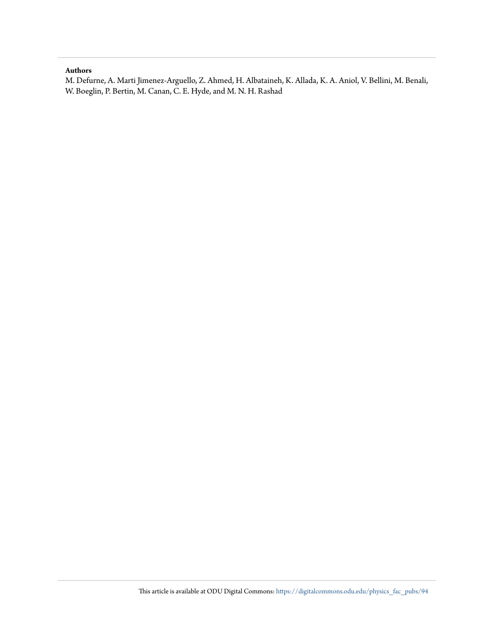## **Authors**

M. Defurne, A. Marti Jimenez-Arguello, Z. Ahmed, H. Albataineh, K. Allada, K. A. Aniol, V. Bellini, M. Benali, W. Boeglin, P. Bertin, M. Canan, C. E. Hyde, and M. N. H. Rashad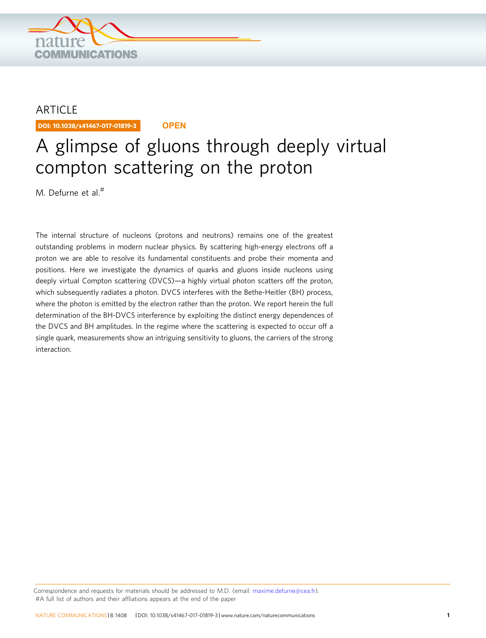

# ARTICLE

DOI: 10.1038/s41467-017-01819-3 **OPEN**

# A glimpse of gluons through deeply virtual compton scattering on the proton

M. Defurne et al.#

The internal structure of nucleons (protons and neutrons) remains one of the greatest outstanding problems in modern nuclear physics. By scattering high-energy electrons off a proton we are able to resolve its fundamental constituents and probe their momenta and positions. Here we investigate the dynamics of quarks and gluons inside nucleons using deeply virtual Compton scattering (DVCS)—a highly virtual photon scatters off the proton, which subsequently radiates a photon. DVCS interferes with the Bethe-Heitler (BH) process, where the photon is emitted by the electron rather than the proton. We report herein the full determination of the BH-DVCS interference by exploiting the distinct energy dependences of the DVCS and BH amplitudes. In the regime where the scattering is expected to occur off a single quark, measurements show an intriguing sensitivity to gluons, the carriers of the strong interaction.

Correspondence and requests for materials should be addressed to M.D. (email: [maxime.defurne@cea.fr](mailto:maxime.defurne@cea.fr)). #A full list of authors and their affliations appears at the end of the paper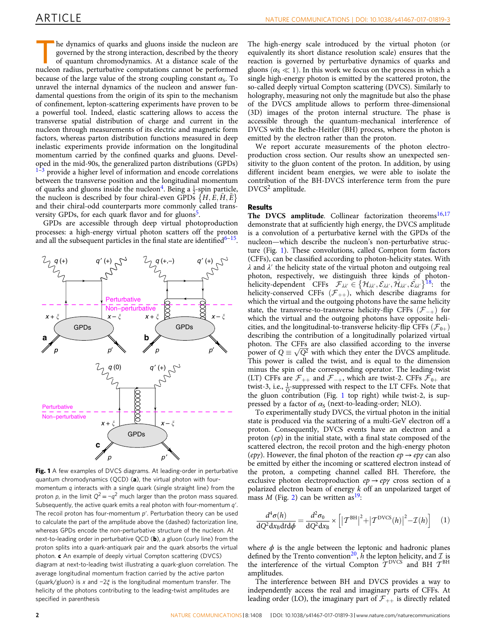he dynamics of quarks and gluons inside the nucleon are governed by the strong interaction, described by the theory of quantum chromodynamics. At a distance scale of the nucleon radius, perturbative computations cannot be performed because of the large value of the strong coupling constant  $\alpha_s$ . To unravel the internal dynamics of the nucleon and answer fundamental questions from the origin of its spin to the mechanism of confinement, lepton-scattering experiments have proven to be a powerful tool. Indeed, elastic scattering allows to access the transverse spatial distribution of charge and current in the nucleon through measurements of its electric and magnetic form factors, whereas parton distribution functions measured in deep inelastic experiments provide information on the longitudinal momentum carried by the confined quarks and gluons. Developed in the mid-90s, the generalized parton distributions (GPDs) provide a higher level of information and encode correlations between the transverse position and the longitudinal momentum of quarks and gluons inside the nucleon<sup>[4](#page-7-0)</sup>. Being a  $\frac{1}{2}$ -spin particle, the nucleon is described by four chiral-even GPDs  $\{H, E, H, E\}$ and their chiral-odd counterparts more commonly called trans-versity GPDs, for each quark flavor and for gluons<sup>[5](#page-7-0)</sup>.

GPDs are accessible through deep virtual photoproduction processes: a high-energy virtual photon scatters off the proton and all the subsequent particles in the final state are identified<sup>[6](#page-7-0)–15</sup>.



Fig. 1 A few examples of DVCS diagrams. At leading-order in perturbative quantum chromodynamics (QCD) (a), the virtual photon with fourmomentum q interacts with a single quark (single straight line) from the proton p, in the limit  $Q^2 = -q^2$  much larger than the proton mass squared. Subsequently, the active quark emits a real photon with four-momentum  $q'$ . The recoil proton has four-momentum  $p'$ . Perturbation theory can be used to calculate the part of the amplitude above the (dashed) factorization line, whereas GPDs encode the non-perturbative structure of the nucleon. At next-to-leading order in perturbative QCD (b), a gluon (curly line) from the proton splits into a quark-antiquark pair and the quark absorbs the virtual photon. c An example of deeply virtual Compton scattering (DVCS) diagram at next-to-leading twist illustrating a quark-gluon correlation. The average longitudinal momentum fraction carried by the active parton (quark/gluon) is x and −2ξ is the longitudinal momentum transfer. The helicity of the photons contributing to the leading-twist amplitudes are specified in parenthesis

The high-energy scale introduced by the virtual photon (or equivalently its short distance resolution scale) ensures that the reaction is governed by perturbative dynamics of quarks and gluons  $(\alpha_{\rm S} \ll 1)$ . In this work we focus on the process in which a single high-energy photon is emitted by the scattered proton, the so-called deeply virtual Compton scattering (DVCS). Similarly to holography, measuring not only the magnitude but also the phase of the DVCS amplitude allows to perform three-dimensional (3D) images of the proton internal structure. The phase is accessible through the quantum-mechanical interference of DVCS with the Bethe-Heitler (BH) process, where the photon is emitted by the electron rather than the proton.

We report accurate measurements of the photon electroproduction cross section. Our results show an unexpected sensitivity to the gluon content of the proton. In addition, by using different incident beam energies, we were able to isolate the contribution of the BH-DVCS interference term from the pure DVCS<sup>2</sup> amplitude.

#### Results

The DVCS amplitude. Collinear factorization theorems<sup>[16,17](#page-7-0)</sup> demonstrate that at sufficiently high energy, the DVCS amplitude is a convolution of a perturbative kernel with the GPDs of the nucleon—which describe the nucleon's non-perturbative structure (Fig. 1). These convolutions, called Compton form factors (CFFs), can be classified according to photon-helicity states. With  $\lambda$  and  $\lambda'$  the helicity state of the virtual photon and outgoing real photon, respectively, we distinguish three kinds of photonhelicity-dependent CFFs  $\mathcal{F}_{\lambda\lambda'} \in \{\mathcal{H}_{\lambda\lambda'}, \mathcal{E}_{\lambda\lambda'}, \tilde{\mathcal{H}}_{\lambda\lambda'}, \tilde{\mathcal{E}}_{\lambda\lambda'}\}^{18}$ : the helicity-conserved CFFs  $(\mathcal{F}_{++})$ , which describe diagrams for which the virtual and the outgoing photons have the same helicity state, the transverse-to-transverse helicity-flip CFFs  $(\mathcal{F}_{-+})$  for which the virtual and the outgoing photons have opposite helicities, and the longitudinal-to-transverse helicity-flip CFFs  $(\mathcal{F}_{0+})$ describing the contribution of a longitudinally polarized virtual photon. The CFFs are also classified according to the inverse power of  $Q = \sqrt{Q^2}$  with which they enter the DVCS amplitude. This power is called the twist, and is equal to the dimension minus the spin of the corresponding operator. The leading-twist (LT) CFFs are  $\mathcal{F}_{++}$  and  $\mathcal{F}_{-+}$ , which are twist-2. CFFs  $\mathcal{F}_{0+}$  are twist-3, i.e.,  $\frac{1}{0}$ -suppressed with respect to the LT CFFs. Note that the gluon contribution (Fig. 1 top right) while twist-2, is suppressed by a factor of  $\alpha_S$  (next-to-leading-order; NLO).

To experimentally study DVCS, the virtual photon in the initial state is produced via the scattering of a multi-GeV electron off a proton. Consequently, DVCS events have an electron and a proton (ep) in the initial state, with a final state composed of the scattered electron, the recoil proton and the high-energy photon (epy). However, the final photon of the reaction  $ep \rightarrow ep\gamma$  can also be emitted by either the incoming or scattered electron instead of the proton, a competing channel called BH. Therefore, the exclusive photon electroproduction  $ep \rightarrow ep\gamma$  cross section of a polarized electron beam of energy k off an unpolarized target of mass M (Fig. [2\)](#page-4-0) can be written as  $19$ :

$$
\frac{d^4\sigma(h)}{dQ^2dx_Bdtd\phi} = \frac{d^2\sigma_0}{dQ^2dx_B} \times \left[ \left| \mathcal{T}^{\text{BH}} \right|^2 + \left| \mathcal{T}^{\text{DVCS}}(h) \right|^2 - \mathcal{I}(h) \right] \tag{1}
$$

where  $\phi$  is the angle between the leptonic and hadronic planes defined by the Trento convention<sup>[20](#page-7-0)</sup>, h the lepton helicity, and  $\mathcal{I}$  is the interference of the virtual Compton  $T^{DVCS}$  and BH  $T^{BH}$ amplitudes.

The interference between BH and DVCS provides a way to independently access the real and imaginary parts of CFFs. At leading order (LO), the imaginary part of  $\mathcal{F}_{++}$  is directly related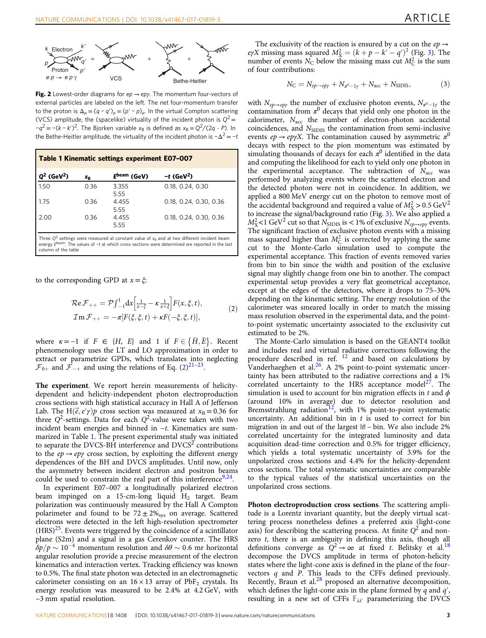<span id="page-4-0"></span>

Fig. 2 Lowest-order diagrams for ep  $\rightarrow$  epy. The momentum four-vectors of external particles are labeled on the left. The net four-momentum transfer to the proton is  $\Delta_{\mu} = (q - q')_{\mu} = (p' - p)_{\mu}$ . In the virtual Compton scattering (VCS) amplitude, the (spacelike) virtuality of the incident photon is  $Q^2 =$  $-q^2 = -(k - k')^2$ . The Bjorken variable  $x_B$  is defined as  $x_B = Q^2/(2q \cdot P)$ . In the Bethe-Heitler amplitude, the virtuality of the incident photon is  $-\Delta^2 = -t$ 

| Table 1 Kinematic settings experiment E07-007                                                    |                |               |                          |  |  |
|--------------------------------------------------------------------------------------------------|----------------|---------------|--------------------------|--|--|
| $Q^2$ (GeV <sup>2</sup> )                                                                        | X <sub>R</sub> | Ebeam (GeV)   | $-t$ (GeV <sup>2</sup> ) |  |  |
| 1.50                                                                                             | 0.36           | 3.355<br>5.55 | 0.18, 0.24, 0.30         |  |  |
| 1.75                                                                                             | 0.36           | 4.455<br>5.55 | 0.18, 0.24, 0.30, 0.36   |  |  |
| 2.00                                                                                             | 0.36           | 4.455<br>5.55 | 0.18, 0.24, 0.30, 0.36   |  |  |
| Three $O^2$ settings were measured at constant value of $x_0$ and at two different incident beam |                |               |                          |  |  |

Three Q<sup>2</sup> settings were measured at constant value of x<sub>B</sub> and at two different incident beam<br>energy E<sup>beam</sup>. The values of −*t* at which cross sections were determined are reported in the last column of the table

to the corresponding GPD at  $x = \xi$ :

$$
\mathcal{R}e\mathcal{F}_{++} = \mathcal{P}\int_{-1}^{1} dx \left[\frac{1}{x-\xi} - \kappa \frac{1}{x+\xi}\right] F(x,\xi,t),
$$
  
\n
$$
\mathcal{I}m\mathcal{F}_{++} = -\pi [F(\xi,\xi,t) + \kappa F(-\xi,\xi,t)],
$$
\n(2)

where  $\kappa = -1$  if  $F \in \{H, E\}$  and 1 if  $F \in \{H, E\}$ . Recent phenomenology uses the LT and LO approximation in order to extract or parametrize GPDs, which translates into neglecting  $\mathcal{F}_{0+}$  and  $\mathcal{F}_{-+}$  and using the relations of Eq. (2)<sup>[21](#page-7-0)-[23](#page-7-0)</sup>.

The experiment. We report herein measurements of helicitydependent and helicity-independent photon electroproduction cross sections with high statistical accuracy in Hall A of Jefferson Lab. The H $(\vec{e}, e'\gamma)p$  cross section was measured at  $x_B = 0.36$  for three  $Q^2$ -settings. Data for each  $Q^2$ -value were taken with two incident beam energies and binned in −t. Kinematics are summarized in Table 1. The present experimental study was initiated to separate the DVCS-BH interference and  $DVCS<sup>2</sup>$  contributions to the  $ep \rightarrow ep\gamma$  cross section, by exploiting the different energy dependences of the BH and DVCS amplitudes. Until now, only the asymmetry between incident electron and positron beams could be used to constrain the real part of this interference  $9,24$ .

In experiment E07–007 a longitudinally polarized electron beam impinged on a 15-cm-long liquid  $H_2$  target. Beam polarization was continuously measured by the Hall A Compton polarimeter and found to be  $72 \pm 2\%_{\text{sys}}$  on average. Scattered electrons were detected in the left high-resolution spectrometer  $(HRS)^{25}$ . Events were triggered by the coincidence of a scintillator plane (S2m) and a signal in a gas Cerenkov counter. The HRS  $\delta p/p \sim 10^{-4}$  momentum resolution and  $\delta \theta \sim 0.6$  mr horizontal angular resolution provide a precise measurement of the electron kinematics and interaction vertex. Tracking efficiency was known to 0.5%. The final state photon was detected in an electromagnetic calorimeter consisting on an  $16 \times 13$  array of PbF<sub>2</sub> crystals. Its energy resolution was measured to be 2.4% at 4.2 GeV, with  $\sim$ 3 mm spatial resolution.

The exclusivity of the reaction is ensured by a cut on the  $ep \rightarrow$ eγX missing mass squared  $M_X^2 = (k+p-k'-q')^2$  (Fig. [3\)](#page-5-0). The number of events  $N_C$  below the missing mass cut  $M_C^2$  is the sum of four contributions:

$$
N_{\rm C} = N_{ep \to ep\gamma} + N_{\pi^0 - 1\gamma} + N_{\rm acc} + N_{\rm SIDIS},\tag{3}
$$

with  $N_{ep\rightarrow ep\gamma}$  the number of exclusive photon events,  $N_{\pi^0-1\gamma}$  the contamination from  $\pi^0$  decays that yield only one photon in the calorimeter,  $N_{\text{acc}}$  the number of electron-photon accidental coincidences, and  $N<sub>SIDIS</sub>$  the contamination from semi-inclusive events  $ep \rightarrow ep\gamma X$ . The contamination caused by asymmetric  $\pi^0$ decays with respect to the pion momentum was estimated by simulating thousands of decays for each  $\pi^0$  identified in the data and computing the likelihood for each to yield only one photon in the experimental acceptance. The subtraction of  $N_{\text{acc}}$  was performed by analyzing events where the scattered electron and the detected photon were not in coincidence. In addition, we applied a 800 MeV energy cut on the photon to remove most of the accidental background and required a value of  $M_{\rm X}^2 > 0.5 \text{ GeV}^2$ to increase the signal/background ratio (Fig. [3](#page-5-0)). We also applied a  $M_{\rm X}^2$  < 1 GeV<sup>2</sup> cut so that  $N_{\rm SIDIS}$  is < 1% of exclusive  $N_{ep\rightarrow ep\gamma}$  events. The significant fraction of exclusive photon events with a missing mass squared higher than  $M_C^2$  is corrected by applying the same cut to the Monte-Carlo simulation used to compute the experimental acceptance. This fraction of events removed varies from bin to bin since the width and position of the exclusive signal may slightly change from one bin to another. The compact experimental setup provides a very flat geometrical acceptance, except at the edges of the detectors, where it drops to 75–30% depending on the kinematic setting. The energy resolution of the calorimeter was smeared locally in order to match the missing mass resolution observed in the experimental data, and the pointto-point systematic uncertainty associated to the exclusivity cut estimated to be 2%.

The Monte-Carlo simulation is based on the GEANT4 toolkit and includes real and virtual radiative corrections following the procedure described in ref.  $12$  and based on calculations by Vanderhaeghen et al.<sup>26</sup>. A 2% point-to-point systematic uncertainty has been attributed to the radiative corrections and a 1% correlated uncertainty to the HRS acceptance model<sup>27</sup>. The simulation is used to account for bin migration effects in t and  $\phi$ (around 10% in average) due to detector resolution and Bremsstrahlung radiation<sup>[12](#page-7-0)</sup>, with 1% point-to-point systematic uncertainty. An additional bin in  $t$  is used to correct for bin migration in and out of the largest |t| − bin. We also include 2% correlated uncertainty for the integrated luminosity and data acquisition dead-time correction and 0.5% for trigger efficiency, which yields a total systematic uncertainty of 3.9% for the unpolarized cross sections and 4.4% for the helicity-dependent cross sections. The total systematic uncertainties are comparable to the typical values of the statistical uncertainties on the unpolarized cross sections.

Photon electroproduction cross sections. The scattering amplitude is a Lorentz invariant quantity, but the deeply virtual scattering process nonetheless defines a preferred axis (light-cone axis) for describing the scattering process. At finite  $Q^2$  and nonzero *t*, there is an ambiguity in defining this axis, though all definitions converge as  $Q^2 \rightarrow \infty$  at fixed t. Belitsky et al.<sup>18</sup> decompose the DVCS amplitude in terms of photon-helicity states where the light-cone axis is defined in the plane of the fourvectors  $q$  and  $P$ . This leads to the CFFs defined previously. Recently, Braun et al. $^{28}$  $^{28}$  $^{28}$  proposed an alternative decomposition, which defines the light-cone axis in the plane formed by  $q$  and  $q'$ , resulting in a new set of CFFs  $\mathbb{F}_{\lambda\lambda'}$  parameterizing the DVCS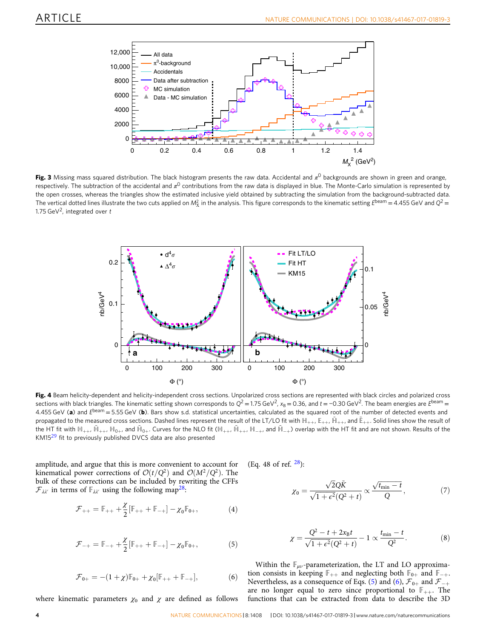<span id="page-5-0"></span>

Fig. 3 Missing mass squared distribution. The black histogram presents the raw data. Accidental and  $\pi^0$  backgrounds are shown in green and orange, respectively. The subtraction of the accidental and  $\pi^0$  contributions from the raw data is displayed in blue. The Monte-Carlo simulation is represented by the open crosses, whereas the triangles show the estimated inclusive yield obtained by subtracting the simulation from the background-subtracted data. The vertical dotted lines illustrate the two cuts applied on  $M_{\rm X}^2$  in the analysis. This figure corresponds to the kinematic setting  $E^{\rm beam}$  = 4.455 GeV and  $Q^2$  = 1.75 GeV<sup>2</sup>, integrated over  $t$ 



Fig. 4 Beam helicity-dependent and helicity-independent cross sections. Unpolarized cross sections are represented with black circles and polarized cross sections with black triangles. The kinematic setting shown corresponds to  $Q^2 = 1.75$  GeV<sup>2</sup>, x<sub>B</sub> = 0.36, and t = -0.30 GeV<sup>2</sup>. The beam energies are E<sup>beam</sup> = 4.455 GeV (a) and  $E^{beam} = 5.55$  GeV (b). Bars show s.d. statistical uncertainties, calculated as the squared root of the number of detected events and propagated to the measured cross sections. Dashed lines represent the result of the LT/LO fit with  $\mathbb{H}_{++}$ ,  $\mathbb{E}_{++}$ ,  $\mathbb{H}_{++}$ , and  $\mathbb{E}_{++}$ . Solid lines show the result of the HT fit with  $H_{++}$ ,  $H_{0+}$ ,  $H_{0+}$ , and  $H_{0+}$ . Curves for the NLO fit ( $H_{++}$ ,  $H_{++}$ ,  $H_{-+}$ , and  $H_{-+}$ ) overlap with the HT fit and are not shown. Results of the KM15<sup>[29](#page-7-0)</sup> fit to previously published DVCS data are also presented

amplitude, and argue that this is more convenient to account for kinematical power corrections of  $\mathcal{O}(t/Q^2)$  and  $\mathcal{O}(M^2/Q^2)$ . The bulk of these corrections can be included by rewriting the CFFs  $\mathcal{F}_{\lambda\lambda'}$  in terms of  $\mathbb{F}_{\lambda\lambda'}$  using the following map<sup>[28](#page-7-0)</sup>:

$$
\mathcal{F}_{++} = \mathbb{F}_{++} + \frac{\chi}{2} [\mathbb{F}_{++} + \mathbb{F}_{-+}] - \chi_0 \mathbb{F}_{0+},
$$
 (4)

$$
\mathcal{F}_{-+} = \mathbb{F}_{-+} + \frac{\chi}{2} [\mathbb{F}_{++} + \mathbb{F}_{-+}] - \chi_0 \mathbb{F}_{0+},
$$
 (5)

$$
{\cal F}_{0+}=-(1+\chi){\mathbb F}_{0+}+\chi_0[{\mathbb F}_{++}+{\mathbb F}_{-+}], \hspace{1.0in}(6)
$$

where kinematic parameters  $\chi_0$  and  $\chi$  are defined as follows

(Eq. 48 of ref.  $^{28}$ ):

$$
\chi_0 = \frac{\sqrt{2Q\tilde{K}}}{\sqrt{1+\epsilon^2(Q^2+t)}} \propto \frac{\sqrt{t_{\min}-t}}{Q},\tag{7}
$$

$$
\chi = \frac{Q^2 - t + 2x_B t}{\sqrt{1 + \epsilon^2} (Q^2 + t)} - 1 \propto \frac{t_{\min} - t}{Q^2}.
$$
 (8)

Within the  $\mathbb{F}_{\mu\nu}$ -parameterization, the LT and LO approximation consists in keeping  $\mathbb{F}_{++}$  and neglecting both  $\mathbb{F}_{0+}$  and  $\mathbb{F}_{-+}$ . Nevertheless, as a consequence of Eqs. (5) and (6),  $\mathcal{F}_{0+}$  and  $\mathcal{F}_{-+}$ are no longer equal to zero since proportional to  $\mathbb{F}_{++}$ . The functions that can be extracted from data to describe the 3D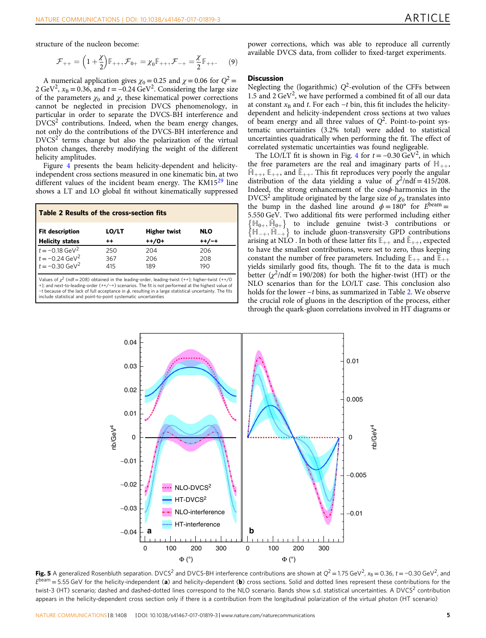<span id="page-6-0"></span>structure of the nucleon become:

$$
\mathcal{F}_{++} = \left(1 + \frac{\chi}{2}\right)\mathbb{F}_{++}, \mathcal{F}_{0+} = \chi_0 \mathbb{F}_{++}, \mathcal{F}_{-+} = \frac{\chi}{2}\mathbb{F}_{++}.
$$
 (9)

A numerical application gives  $\chi_0 = 0.25$  and  $\chi = 0.06$  for  $Q^2 =$ 2 GeV<sup>2</sup>,  $x_B = 0.36$ , and  $t = -0.24$  GeV<sup>2</sup>. Considering the large size of the parameters  $\chi_0$  and  $\chi$ , these kinematical power corrections cannot be neglected in precision DVCS phenomenology, in particular in order to separate the DVCS-BH interference and  $DVCS<sup>2</sup>$  contributions. Indeed, when the beam energy changes, not only do the contributions of the DVCS-BH interference and  $DVCS<sup>2</sup>$  terms change but also the polarization of the virtual photon changes, thereby modifying the weight of the different helicity amplitudes.

Figure [4](#page-5-0) presents the beam helicity-dependent and helicityindependent cross sections measured in one kinematic bin, at two different values of the incident beam energy. The  $KM15^{29}$  $KM15^{29}$  $KM15^{29}$  line shows a LT and LO global fit without kinematically suppressed

| <b>Table 2 Results of the cross-section fits</b>                                    |                   |                     |                   |  |  |
|-------------------------------------------------------------------------------------|-------------------|---------------------|-------------------|--|--|
| <b>Fit description</b>                                                              | LO/LT             | <b>Higher twist</b> | <b>NLO</b>        |  |  |
| <b>Helicity states</b>                                                              | $++$              | $++/0+$             | $++/-+$           |  |  |
| $t = -0.18 \text{ GeV}^2$<br>$t = -0.24 \text{ GeV}^2$<br>$t = -0.30 \text{ GeV}^2$ | 250<br>367<br>415 | 204<br>206<br>189   | 206<br>208<br>190 |  |  |

Values of  $\chi^2$  (ndf = 208) obtained in the leading-order, leading-twist (++); higher-twist (++/0<br>+); and next-to-leading-order (++/−+) scenarios. The fit is not performed at the highest value of  $-t$  because of the lack of full acceptance in  $\phi$ , resulting in a large statistical uncertainty. The fits include statistical and point-to-point systematic uncertainties

power corrections, which was able to reproduce all currently available DVCS data, from collider to fixed-target experiments.

## **Discussion**

Neglecting the (logarithmic)  $Q^2$ -evolution of the CFFs between 1.5 and  $2 \text{ GeV}^2$ , we have performed a combined fit of all our data at constant  $x_B$  and t. For each  $-t$  bin, this fit includes the helicitydependent and helicity-independent cross sections at two values of beam energy and all three values of  $Q^2$ . Point-to-point systematic uncertainties (3.2% total) were added to statistical uncertainties quadratically when performing the fit. The effect of correlated systematic uncertainties was found negligeable.

The LO/LT fit is shown in Fig. [4](#page-5-0) for  $t = -0.30 \text{ GeV}^2$ , in which the free parameters are the real and imaginary parts of  $H_{++}$ ,  $H_{++}$ ,  $E_{++}$ , and  $E_{++}$ . This fit reproduces very poorly the angular distribution of the data yielding a value of  $\chi^2$ /ndf = 415/208. Indeed, the strong enhancement of the  $cos\phi$ -harmonics in the DVCS<sup>2</sup> amplitude originated by the large size of  $\chi_0$  translates into the bump in the dashed line around  $\phi = 180^{\circ}$  for  $E^{\text{beam}} =$ 5.550 GeV. Two additional fits were performed including either  $\{\mathbb{H}_{0+}, \tilde{\mathbb{H}}_{0+}\}$  to include genuine twist-3 contributions or  $\{\mathbb{H}_{-+}, \widetilde{\mathbb{H}}_{-+}\}$  to include gluon-transversity GPD contributions arising at NLO . In both of these latter fits  $\mathbb{E}_{++}$  and  $\mathbb{E}_{++}$ , expected to have the smallest contributions, were set to zero, thus keeping constant the number of free parameters. Including  $\mathbb{E}_{++}$  and  $\mathbb{E}_{++}$ yields similarly good fits, though. The fit to the data is much better  $(\chi^2/\text{ndf} = 190/208)$  for both the higher-twist (HT) or the NLO scenarios than for the LO/LT case. This conclusion also holds for the lower −t bins, as summarized in Table 2. We observe the crucial role of gluons in the description of the process, either through the quark-gluon correlations involved in HT diagrams or



**Fig. 5** A generalized Rosenbluth separation. DVCS<sup>2</sup> and DVCS-BH interference contributions are shown at  $Q^2 = 1.75$  GeV<sup>2</sup>,  $x_B = 0.36$ ,  $t = -0.30$  GeV<sup>2</sup>, and  $E<sup>beam</sup> = 5.55 GeV$  for the helicity-independent (a) and helicity-dependent (b) cross sections. Solid and dotted lines represent these contributions for the twist-3 (HT) scenario; dashed and dashed-dotted lines correspond to the NLO scenario. Bands show s.d. statistical uncertainties. A DVCS<sup>2</sup> contribution appears in the helicity-dependent cross section only if there is a contribution from the longitudinal polarization of the virtual photon (HT scenario)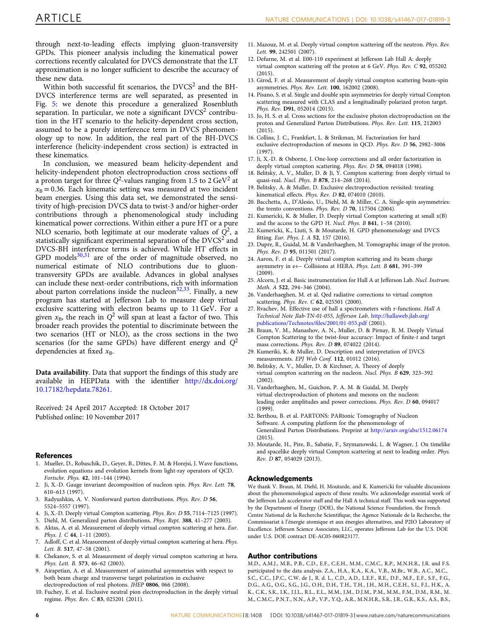<span id="page-7-0"></span>through next-to-leading effects implying gluon-transversity GPDs. This pioneer analysis including the kinematical power corrections recently calculated for DVCS demonstrate that the LT approximation is no longer sufficient to describe the accuracy of these new data.

Within both successful fit scenarios, the  $DVCS<sup>2</sup>$  and the BH-DVCS interference terms are well separated, as presented in Fig. [5](#page-6-0): we denote this procedure a generalized Rosenbluth separation. In particular, we note a significant  $DVCS<sup>2</sup>$  contribution in the HT scenario to the helicity-dependent cross section, assumed to be a purely interference term in DVCS phenomenology up to now. In addition, the real part of the BH-DVCS interference (helicity-independent cross section) is extracted in these kinematics.

In conclusion, we measured beam helicity-dependent and helicity-independent photon electroproduction cross sections off a proton target for three  $Q^2$ -values ranging from 1.5 to 2 GeV<sup>2</sup> at  $x_B = 0.36$ . Each kinematic setting was measured at two incident beam energies. Using this data set, we demonstrated the sensitivity of high-precision DVCS data to twist-3 and/or higher-order contributions through a phenomenological study including kinematical power corrections. Within either a pure HT or a pure NLO scenario, both legitimate at our moderate values of  $Q^2$ , a statistically significant experimental separation of the  $DVCS<sup>2</sup>$  and DVCS-BH interference terms is achieved. While HT effects in GPD models $30,31$  are of the order of magnitude observed, no numerical estimate of NLO contributions due to gluontransversity GPDs are available. Advances in global analyses can include these next-order contributions, rich with information about parton correlations inside the nucleon<sup>32,33</sup>. Finally, a new program has started at Jefferson Lab to measure deep virtual exclusive scattering with electron beams up to 11 GeV. For a given  $x_B$ , the reach in  $Q^2$  will span at least a factor of two. This broader reach provides the potential to discriminate between the two scenarios (HT or NLO), as the cross sections in the two scenarios (for the same GPDs) have different energy and  $Q^2$ dependencies at fixed  $x_B$ .

Data availability. Data that support the findings of this study are available in HEPData with the identifier [http://dx.doi.org/](http://dx.doi.org/10.17182/hepdata.78261) [10.17182/hepdata.78261.](http://dx.doi.org/10.17182/hepdata.78261)

Received: 24 April 2017 Accepted: 18 October 2017 Published online: 10 November 2017

#### References

- 1. Mueller, D., Robaschik, D., Geyer, B., Dittes, F. M. & Horejsi, J. Wave functions, evolution equations and evolution kernels from light-ray operators of QCD. Fortschr. Phys. 42, 101–144 (1994).
- 2. Ji, X.-D. Gauge invariant decomposition of nucleon spin. Phys. Rev. Lett. 78, 610–613 (1997).
- 3. Radyushkin, A. V. Nonforward parton distributions. Phys. Rev. D 56, 5524–5557 (1997).
- 4. Ji, X.-D. Deeply virtual Compton scattering. Phys. Rev. D 55, 7114–7125 (1997).
- 5. Diehl, M. Generalized parton distributions. Phys. Rept. 388, 41–277 (2003).
- 6. Aktas, A. et al. Measurement of deeply virtual compton scattering at hera. Eur. Phys. J. C 44, 1–11 (2005).
- 7. Adloff, C. et al. Measurement of deeply virtual compton scattering at hera. Phys. Lett. B. 517, 47–58 (2001).
- Chekanov, S. et al. Measurement of deeply virtual compton scattering at hera. Phys. Lett. B. 573, 46–62 (2003).
- 9. Airapetian, A. et al. Measurement of azimuthal asymmetries with respect to both beam charge and transverse target polarization in exclusive electroproduction of real photons. JHEP 0806, 066 (2008).
- 10. Fuchey, E. et al. Exclusive neutral pion electroproduction in the deeply virtual regime. Phys. Rev. C 83, 025201 (2011).
- 11. Mazouz, M. et al. Deeply virtual compton scattering off the neutron. Phys. Rev. Lett. 99, 242501 (2007).
- 12. Defurne, M. et al. E00-110 experiment at Jefferson Lab Hall A: deeply virtual compton scattering off the proton at 6 GeV. Phys. Rev. C 92, 055202 (2015).
- 13. Girod, F. et al. Measurement of deeply virtual compton scattering beam-spin asymmetries. Phys. Rev. Lett. 100, 162002 (2008).
- 14. Pisano, S. et al. Single and double spin asymmetries for deeply virtual Compton scattering measured with CLAS and a longitudinally polarized proton target. Phys. Rev. D91, 052014 (2015).
- 15. Jo, H. S. et al. Cross sections for the exclusive photon electroproduction on the proton and Generalized Parton Distributions. Phys. Rev. Lett. 115, 212003  $(2015)$
- 16. Collins, J. C., Frankfurt, L. & Strikman, M. Factorization for hard exclusive electroproduction of mesons in QCD. Phys. Rev. D 56, 2982–3006 (1997).
- 17. Ji, X.-D. & Osborne, J. One-loop corrections and all order factorization in deeply virtual compton scattering. Phys. Rev. D 58, 094018 (1998).
- 18. Belitsky, A. V., Muller, D. & Ji, Y. Compton scattering: from deeply virtual to quasi-real. Nucl. Phys. B 878, 214–268 (2014).
- 19. Belitsky, A. & Muller, D. Exclusive electroproduction revisited: treating kinematical effects. Phys. Rev. D 82, 074010 (2010).
- 20. Bacchetta, A., D'Alesio, U., Diehl, M. & Miller, C. A. Single-spin asymmetries: the trento conventions. Phys. Rev. D 70, 117504 (2004).
- 21. Kumericki, K. & Muller, D. Deeply virtual Compton scattering at small x(B) and the access to the GPD H. Nucl. Phys. B 841, 1–58 (2010).
- 22. Kumericki, K., Liuti, S. & Moutarde, H. GPD phenomenology and DVCS fitting. Eur. Phys. J. A 52, 157 (2016).
- 23. Dupre, R., Guidal, M. & Vanderhaeghen, M. Tomographic image of the proton. Phys. Rev. D 95, 011501 (2017).
- 24. Aaron, F. et al. Deeply virtual compton scattering and its beam charge asymmetry in e+− Collisions at HERA. Phys. Lett. B 681, 391–399  $(2009)$ .
- 25. Alcorn, J. et al. Basic instrumentation for Hall A at Jefferson Lab. Nucl. Instrum. Meth. A 522, 294–346 (2004).
- 26. Vanderhaeghen, M. et al. Qed radiative corrections to virtual compton scattering. Phys. Rev. C 62, 025501 (2000).
- 27. Rvachev, M. Effective use of hall a spectrometers with r-functions. Hall A Technical Note Jlab-TN-01-055, Jefferson Lab. [http://hallaweb.jlab.org/](http://hallaweb.jlab.org/publications/Technotes/files/2001/01-055.pdf) [publications/Technotes/](http://hallaweb.jlab.org/publications/Technotes/files/2001/01-055.pdf)files/2001/01-055.pdf (2001).
- 28. Braun, V. M., Manashov, A. N., Muller, D. & Pirnay, B. M. Deeply Virtual Compton Scattering to the twist-four accuracy: Impact of finite-t and target mass corrections. Phys. Rev. D 89, 074022 (2014).
- 29. Kumeriki, K. & Muller, D. Description and interpretation of DVCS measurements. EPJ Web Conf. 112, 01012 (2016).
- 30. Belitsky, A. V., Muller, D. & Kirchner, A. Theory of deeply virtual compton scattering on the nucleon. Nucl. Phys. B 629, 323–392 (2002).
- 31. Vanderhaeghen, M., Guichon, P. A. M. & Guidal, M. Deeply virtual electroproduction of photons and mesons on the nucleon: leading order amplitudes and power corrections. Phys. Rev. D 60, 094017 (1999).
- 32. Berthou, B. et al. PARTONS: PARtonic Tomography of Nucleon Software. A computing platform for the phenomenology of Generalized Parton Distributions. Preprint at <http://arxiv.org/abs/1512.06174> (2015).
- 33. Moutarde, H., Pire, B., Sabatie, F., Szymanowski, L. & Wagner, J. On timelike and spacelike deeply virtual Compton scattering at next to leading order. Phys. Rev. D 87, 054029 (2013).

#### Acknowledgements

We thank V. Braun, M. Diehl, H. Moutarde, and K. Kumericki for valuable discussions about the phenomenological aspects of these results. We acknowledge essential work of the Jefferson Lab accelerator staff and the Hall A technical staff. This work was supported by the Department of Energy (DOE), the National Science Foundation, the French Centre National de la Recherche Scientifique, the Agence Nationale de la Recherche, the Commissariat à l'énergie atomique et aux énergies alternatives, and P2IO Laboratory of Excellence. Jefferson Science Associates, LLC, operates Jefferson Lab for the U.S. DOE under U.S. DOE contract DE-AC05-060R23177.

#### Author contributions

M.D., A.M.J., M.B., P.B., C.D., E.F., C.E.H., M.M., C.M.C., R.P., M.N.H.R., J.R. and F.S. participated to the data analysis. Z.A., H.A., K.A., K.A., V.B., M.Br., W.B., A.C., M.C., S.C., C.C., J.P.C., C.W. de J., R. d. L., C.D., A.D., L.E.F., R.E., D.F., M.F., E.F., S.F., F.G., D.G., A.G., O.G., S.G., J.G., O.H., D.H., T.H., T.H., J.H., M.H., C.E.H., S.I., F.I., H.K., A. K., C.K., S.K., I.K., J.J.L., R.L., E.L., M.M., J.M., D.J.M., P.M., M.M., F.M., D.M., R.M., M. M., C.M.C., P.N.T., N.N., A.P., V.P., Y.Q., A.R., M.N.H.R., S.R., J.R., G.R., K.S., A.S., B.S.,